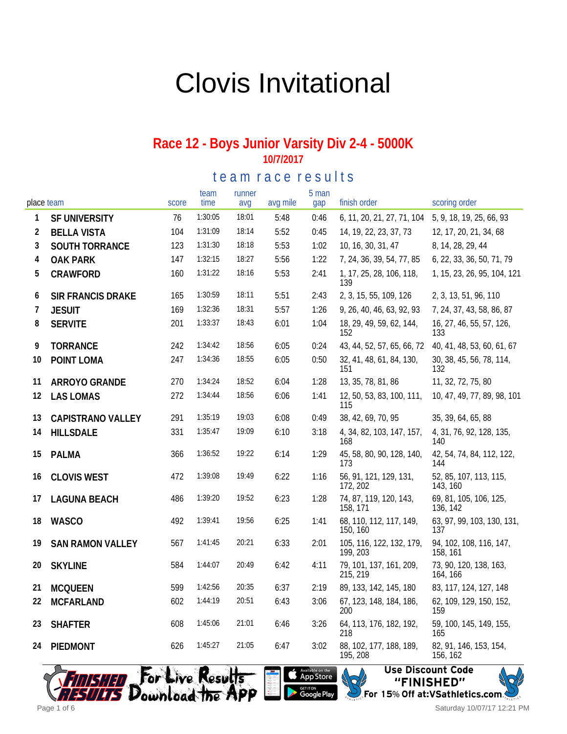# Clovis Invitational

#### **Race 12 - Boys Junior Varsity Div 2-4 - 5000K 10/7/2017**

#### te am race results

|    | place team               | score | team<br>time | runner<br>avq | avg mile | 5 man<br>gap | finish order                         | scoring order                       |
|----|--------------------------|-------|--------------|---------------|----------|--------------|--------------------------------------|-------------------------------------|
| 1  | SF UNIVERSITY            | 76    | 1:30:05      | 18:01         | 5:48     | 0:46         | 6, 11, 20, 21, 27, 71, 104           | 5, 9, 18, 19, 25, 66, 93            |
| 2  | <b>BELLA VISTA</b>       | 104   | 1:31:09      | 18:14         | 5:52     | 0:45         | 14, 19, 22, 23, 37, 73               | 12, 17, 20, 21, 34, 68              |
| 3  | SOUTH TORRANCE           | 123   | 1:31:30      | 18:18         | 5:53     | 1:02         | 10, 16, 30, 31, 47                   | 8, 14, 28, 29, 44                   |
| 4  | <b>OAK PARK</b>          | 147   | 1:32:15      | 18:27         | 5:56     | 1:22         | 7, 24, 36, 39, 54, 77, 85            | 6, 22, 33, 36, 50, 71, 79           |
| 5  | CRAWFORD                 | 160   | 1:31:22      | 18:16         | 5:53     | 2:41         | 1, 17, 25, 28, 106, 118,<br>139      | 1, 15, 23, 26, 95, 104, 121         |
| 6  | <b>SIR FRANCIS DRAKE</b> | 165   | 1:30:59      | 18:11         | 5:51     | 2:43         | 2, 3, 15, 55, 109, 126               | 2, 3, 13, 51, 96, 110               |
| 7  | <b>JESUIT</b>            | 169   | 1:32:36      | 18:31         | 5:57     | 1:26         | 9, 26, 40, 46, 63, 92, 93            | 7, 24, 37, 43, 58, 86, 87           |
| 8  | <b>SERVITE</b>           | 201   | 1:33:37      | 18:43         | 6:01     | 1:04         | 18, 29, 49, 59, 62, 144,<br>152      | 16, 27, 46, 55, 57, 126,<br>133     |
| 9  | <b>TORRANCE</b>          | 242   | 1:34:42      | 18:56         | 6:05     | 0:24         | 43, 44, 52, 57, 65, 66, 72           | 40, 41, 48, 53, 60, 61, 67          |
| 10 | POINT LOMA               | 247   | 1:34:36      | 18:55         | 6:05     | 0:50         | 32, 41, 48, 61, 84, 130,<br>151      | 30, 38, 45, 56, 78, 114,<br>132     |
| 11 | ARROYO GRANDE            | 270   | 1:34:24      | 18:52         | 6:04     | 1:28         | 13, 35, 78, 81, 86                   | 11, 32, 72, 75, 80                  |
| 12 | <b>LAS LOMAS</b>         | 272   | 1:34:44      | 18:56         | 6:06     | 1:41         | 12, 50, 53, 83, 100, 111,<br>115     | 10, 47, 49, 77, 89, 98, 101         |
| 13 | <b>CAPISTRANO VALLEY</b> | 291   | 1:35:19      | 19:03         | 6:08     | 0:49         | 38, 42, 69, 70, 95                   | 35, 39, 64, 65, 88                  |
| 14 | <b>HILLSDALE</b>         | 331   | 1:35:47      | 19:09         | 6:10     | 3:18         | 4, 34, 82, 103, 147, 157,<br>168     | 4, 31, 76, 92, 128, 135,<br>140     |
| 15 | <b>PALMA</b>             | 366   | 1:36:52      | 19:22         | 6:14     | 1:29         | 45, 58, 80, 90, 128, 140,<br>173     | 42, 54, 74, 84, 112, 122,<br>144    |
| 16 | <b>CLOVIS WEST</b>       | 472   | 1:39:08      | 19:49         | 6:22     | 1:16         | 56, 91, 121, 129, 131,<br>172, 202   | 52, 85, 107, 113, 115,<br>143, 160  |
| 17 | <b>LAGUNA BEACH</b>      | 486   | 1:39:20      | 19:52         | 6:23     | 1:28         | 74, 87, 119, 120, 143,<br>158, 171   | 69, 81, 105, 106, 125,<br>136, 142  |
| 18 | <b>WASCO</b>             | 492   | 1:39:41      | 19:56         | 6:25     | 1:41         | 68, 110, 112, 117, 149,<br>150, 160  | 63, 97, 99, 103, 130, 131,<br>137   |
| 19 | <b>SAN RAMON VALLEY</b>  | 567   | 1:41:45      | 20:21         | 6:33     | 2:01         | 105, 116, 122, 132, 179,<br>199, 203 | 94, 102, 108, 116, 147,<br>158, 161 |
| 20 | <b>SKYLINE</b>           | 584   | 1:44:07      | 20:49         | 6:42     | 4:11         | 79, 101, 137, 161, 209,<br>215, 219  | 73, 90, 120, 138, 163,<br>164, 166  |
| 21 | <b>MCQUEEN</b>           | 599   | 1:42:56      | 20:35         | 6:37     | 2:19         | 89, 133, 142, 145, 180               | 83, 117, 124, 127, 148              |
| 22 | <b>MCFARLAND</b>         | 602   | 1:44:19      | 20:51         | 6:43     | 3:06         | 67, 123, 148, 184, 186,<br>200       | 62, 109, 129, 150, 152,<br>159      |
| 23 | <b>SHAFTER</b>           | 608   | 1:45:06      | 21:01         | 6:46     | 3:26         | 64, 113, 176, 182, 192,<br>218       | 59, 100, 145, 149, 155,<br>165      |
| 24 | PIEDMONT                 | 626   | 1:45:27      | 21:05         | 6:47     | 3:02         | 88, 102, 177, 188, 189,<br>195, 208  | 82, 91, 146, 153, 154,<br>156, 162  |



Available on the Google Play

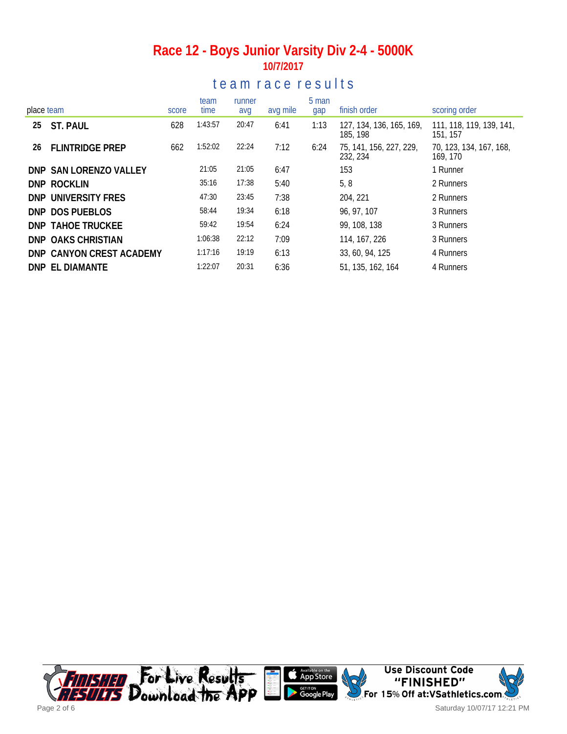### **Race 12 - Boys Junior Varsity Div 2-4 - 5000K 10/7/2017**

## te a m r a c e r e sults

| place team |                          | score | team<br>time | runner<br>avg | avg mile | 5 man<br>gap | finish order                         | scoring order                        |
|------------|--------------------------|-------|--------------|---------------|----------|--------------|--------------------------------------|--------------------------------------|
| 25         | ST. PAUL                 | 628   | 1:43:57      | 20:47         | 6:41     | 1:13         | 127, 134, 136, 165, 169,<br>185, 198 | 111, 118, 119, 139, 141,<br>151, 157 |
| 26         | <b>FLINTRIDGE PREP</b>   | 662   | 1:52:02      | 22:24         | 7:12     | 6:24         | 75, 141, 156, 227, 229,<br>232, 234  | 70, 123, 134, 167, 168,<br>169, 170  |
|            | DNP SAN LORENZO VALLEY   |       | 21:05        | 21:05         | 6:47     |              | 153                                  | 1 Runner                             |
|            | DNP ROCKLIN              |       | 35:16        | 17:38         | 5:40     |              | 5, 8                                 | 2 Runners                            |
|            | DNP UNIVERSITY FRES      |       | 47:30        | 23:45         | 7:38     |              | 204, 221                             | 2 Runners                            |
|            | DNP DOS PUEBLOS          |       | 58:44        | 19:34         | 6:18     |              | 96, 97, 107                          | 3 Runners                            |
|            | <b>DNP TAHOE TRUCKEE</b> |       | 59:42        | 19:54         | 6:24     |              | 99, 108, 138                         | 3 Runners                            |
|            | DNP OAKS CHRISTIAN       |       | 1:06:38      | 22:12         | 7:09     |              | 114, 167, 226                        | 3 Runners                            |
|            | DNP CANYON CREST ACADEMY |       | 1:17:16      | 19:19         | 6:13     |              | 33, 60, 94, 125                      | 4 Runners                            |
|            | DNP EL DIAMANTE          |       | 1:22:07      | 20:31         | 6:36     |              | 51, 135, 162, 164                    | 4 Runners                            |

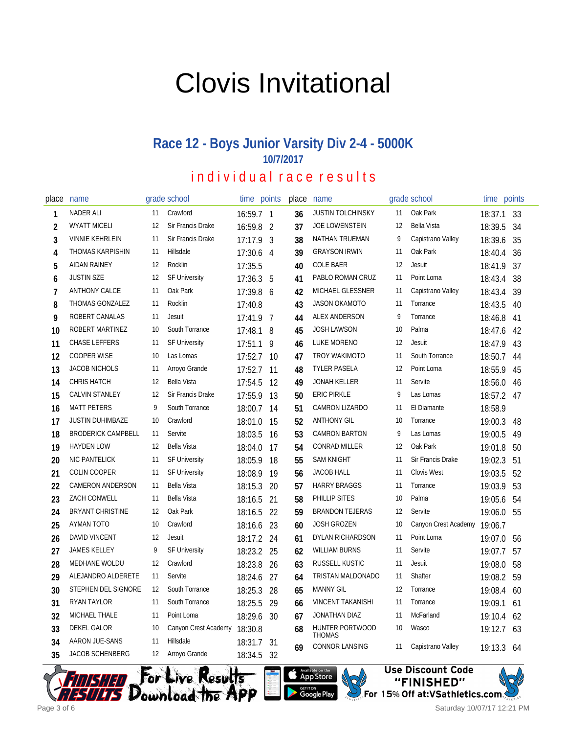# Clovis Invitational

#### **Race 12 - Boys Junior Varsity Div 2-4 - 5000K 10/7/2017** i n d i v i d u a l r a c e r e s u l t s

place name and grade school time points 1 NADER ALI 11 Crawford 16:59.7 1 2 WYATT MICELI 12 Sir Francis Drake 16:59.8 2 VINNIE KEHRLEIN 11 Sir Francis Drake 17:17.9 3 THOMAS KARPISHIN 11 Hillsdale 17:30.6 4 AIDAN RAINEY 12 Rocklin 17:35.5 JUSTIN SZE 12 SF University 17:36.3 5 ANTHONY CALCE 11 Oak Park 17:39.8 6 8 THOMAS GONZALEZ 11 Rocklin 17:40.8 ROBERT CANALAS 11 Jesuit 17:41.9 7 10 ROBERT MARTINEZ 10 South Torrance 17:48.1 8 11 CHASE LEFFERS 11 SF University 17:51.1 9 12 COOPER WISE 10 Las Lomas 17:52.7 10 13 JACOB NICHOLS 11 Arroyo Grande 17:52.7 11 14 CHRIS HATCH 12 Bella Vista 17:54.5 12 CALVIN STANLEY 12 Sir Francis Drake 17:55.9 13 MATT PETERS 9 South Torrance 18:00.7 14 JUSTIN DUHIMBAZE 10 Crawford 18:01.0 15 18 BRODERICK CAMPBELL 11 Servite 18:03.5 16 HAYDEN LOW 12 Bella Vista 18:04.0 17 NIC PANTELICK 11 SF University 18:05.9 18 COLIN COOPER 11 SF University 18:08.9 19 22 CAMERON ANDERSON 11 Bella Vista 18:15.3 20 23 ZACH CONWELL 11 Bella Vista 18:16.5 21 24 BRYANT CHRISTINE 12 Oak Park 18:16.5 22 AYMAN TOTO 10 Crawford 18:16.6 23 DAVID VINCENT 12 Jesuit 18:17.2 24 JAMES KELLEY 9 SF University 18:23.2 25 MEDHANE WOLDU 12 Crawford 18:23.8 26 ALEJANDRO ALDERETE 11 Servite 18:24.6 27 STEPHEN DEL SIGNORE 12 South Torrance 18:25.3 28 RYAN TAYLOR 11 South Torrance 18:25.5 29 MICHAEL THALE 11 Point Loma 18:29.6 30 DEKEL GALOR 10 Canyon Crest Academy 18:30.8 AARON JUE-SANS 11 Hillsdale 18:31.7 31 JACOB SCHENBERG 12 Arroyo Grande 18:34.5 32 place name and grade school time points 36 JUSTIN TOLCHINSKY 11 Oak Park 18:37.1 33 JOE LOWENSTEIN 12 Bella Vista 18:39.5 34 NATHAN TRUEMAN 9 Capistrano Valley 18:39.6 35 GRAYSON IRWIN 11 Oak Park 18:40.4 36 COLE BAER 12 Jesuit 18:41.9 37 PABLO ROMAN CRUZ 11 Point Loma 18:43.4 38 MICHAEL GLESSNER 11 Capistrano Valley 18:43.4 39 JASON OKAMOTO 11 Torrance 18:43.5 40 ALEX ANDERSON 9 Torrance 18:46.8 41 JOSH LAWSON 10 Palma 18:47.6 42 LUKE MORENO 12 Jesuit 18:47.9 43 TROY WAKIMOTO 11 South Torrance 18:50.7 44 TYLER PASELA 12 Point Loma 18:55.9 45 JONAH KELLER 11 Servite 18:56.0 46 ERIC PIRKLE 9 Las Lomas 18:57.2 47 CAMRON LIZARDO 11 El Diamante 18:58.9 ANTHONY GIL 10 Torrance 19:00.3 48 CAMRON BARTON 9 Las Lomas 19:00.5 49 CONRAD MILLER 12 Oak Park 19:01.8 50 SAM KNIGHT 11 Sir Francis Drake 19:02.3 51 JACOB HALL 11 Clovis West 19:03.5 52 HARRY BRAGGS 11 Torrance 19:03.9 53 PHILLIP SITES 10 Palma 19:05.6 54 BRANDON TEJERAS 12 Servite 19:06.0 55 JOSH GROZEN 10 Canyon Crest Academy 19:06.7 DYLAN RICHARDSON 11 Point Loma 19:07.0 56 WILLIAM BURNS 11 Servite 19:07.7 57 RUSSELL KUSTIC 11 Jesuit 19:08.0 58 TRISTAN MALDONADO 11 Shafter 19:08.2 59 MANNY GIL 12 Torrance 19:08.4 60 VINCENT TAKANISHI 11 Torrance 19:09.1 61 JONATHAN DIAZ 11 McFarland 19:10.4 62 HUNTER PORTWOOD **THOMAS** 10 Wasco 19:12.7 63 CONNOR LANSING 11 Capistrano Valley 19:13.3 64







11158.11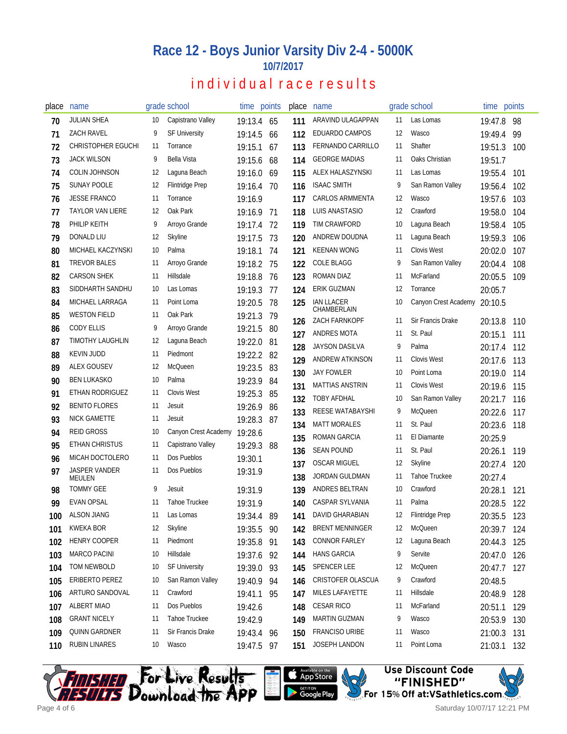## **Race 12 - Boys Junior Varsity Div 2-4 - 5000K 10/7/2017**

## individual race results

| place | name                      |     | grade school           |            | time points | place | name                         |    | grade school                     | time points |     |
|-------|---------------------------|-----|------------------------|------------|-------------|-------|------------------------------|----|----------------------------------|-------------|-----|
| 70    | <b>JULIAN SHEA</b>        | 10  | Capistrano Valley      | 19:13.4    | 65          | 111   | ARAVIND ULAGAPPAN            | 11 | Las Lomas                        | 19:47.8     | 98  |
| 71    | <b>ZACH RAVEL</b>         | 9   | <b>SF University</b>   | 19:14.5    | 66          | 112   | EDUARDO CAMPOS               | 12 | Wasco                            | 19:49.4     | 99  |
| 72    | <b>CHRISTOPHER EGUCHI</b> | -11 | Torrance               | 19:15.1    | 67          | 113   | <b>FERNANDO CARRILLO</b>     | 11 | Shafter                          | 19:51.3     | 100 |
| 73    | <b>JACK WILSON</b>        | 9   | <b>Bella Vista</b>     | 19:15.6    | 68          | 114   | <b>GEORGE MADIAS</b>         | 11 | Oaks Christian                   | 19:51.7     |     |
| 74    | <b>COLIN JOHNSON</b>      | 12  | Laguna Beach           | 19:16.0    | 69          | 115   | ALEX HALASZYNSKI             | 11 | Las Lomas                        | 19:55.4     | 101 |
| 75    | SUNAY POOLE               | 12  | <b>Flintridge Prep</b> | 19:16.4    | 70          | 116   | <b>ISAAC SMITH</b>           | 9  | San Ramon Valley                 | 19:56.4     | 102 |
| 76    | <b>JESSE FRANCO</b>       | 11  | Torrance               | 19:16.9    |             | 117   | <b>CARLOS ARMMENTA</b>       | 12 | Wasco                            | 19:57.6     | 103 |
| 77    | <b>TAYLOR VAN LIERE</b>   | 12  | Oak Park               | 19:16.9    | 71          | 118   | LUIS ANASTASIO               | 12 | Crawford                         | 19:58.0     | 104 |
| 78    | PHILIP KEITH              | 9   | Arroyo Grande          | 19:17.4    | 72          | 119   | TIM CRAWFORD                 | 10 | Laguna Beach                     | 19:58.4     | 105 |
| 79    | <b>DONALD LIU</b>         | 12  | Skyline                | 19:17.5    | 73          | 120   | ANDREW DOUDNA                | 11 | Laguna Beach                     | 19:59.3     | 106 |
| 80    | MICHAEL KACZYNSKI         | 10  | Palma                  | 19:18.1    | 74          | 121   | <b>KEENAN WONG</b>           | 11 | <b>Clovis West</b>               | 20:02.0     | 107 |
| 81    | <b>TREVOR BALES</b>       | 11  | Arroyo Grande          | 19:18.2    | 75          | 122   | <b>COLE BLAGG</b>            | 9  | San Ramon Valley                 | 20:04.4     | 108 |
| 82    | <b>CARSON SHEK</b>        | -11 | Hillsdale              | 19:18.8    | 76          | 123   | ROMAN DIAZ                   | 11 | McFarland                        | 20:05.5     | 109 |
| 83    | SIDDHARTH SANDHU          | 10  | Las Lomas              | 19:19.3    | 77          | 124   | <b>ERIK GUZMAN</b>           | 12 | Torrance                         | 20:05.7     |     |
| 84    | MICHAEL LARRAGA           | 11  | Point Loma             | 19:20.5    | 78          | 125   | <b>IAN LLACER</b>            | 10 | Canyon Crest Academy             | 20:10.5     |     |
| 85    | <b>WESTON FIELD</b>       | 11  | Oak Park               | 19:21.3    | 79          |       | CHAMBERLAIN<br>ZACH FARNKOPF | 11 | Sir Francis Drake                |             |     |
| 86    | <b>CODY ELLIS</b>         | 9   | Arroyo Grande          | 19:21.5    | 80          | 126   | <b>ANDRES MOTA</b>           | 11 | St. Paul                         | 20:13.8     | 110 |
| 87    | <b>TIMOTHY LAUGHLIN</b>   | 12  | Laguna Beach           | 19:22.0    | 81          | 127   | <b>JAYSON DASILVA</b>        | 9  | Palma                            | 20:15.1     | 111 |
| 88    | <b>KEVIN JUDD</b>         | 11  | Piedmont               | 19:22.2    | 82          | 128   | ANDREW ATKINSON              | 11 | <b>Clovis West</b>               | 20:17.4     | 112 |
| 89    | <b>ALEX GOUSEV</b>        | 12  | <b>McQueen</b>         | 19:23.5    | 83          | 129   | <b>JAY FOWLER</b>            | 10 |                                  | 20:17.6     | 113 |
| 90    | <b>BEN LUKASKO</b>        | 10  | Palma                  | 19:23.9    | 84          | 130   | <b>MATTIAS ANSTRIN</b>       | 11 | Point Loma<br><b>Clovis West</b> | 20:19.0     | 114 |
| 91    | ETHAN RODRIGUEZ           | 11  | <b>Clovis West</b>     | 19:25.3    | 85          | 131   | <b>TOBY AFDHAL</b>           | 10 | San Ramon Valley                 | 20:19.6     | 115 |
| 92    | <b>BENITO FLORES</b>      | 11  | Jesuit                 | 19:26.9    | 86          | 132   |                              | 9  |                                  | 20:21.7     | 116 |
| 93    | NICK GAMETTE              | 11  | Jesuit                 | 19:28.3    | -87         | 133   | REESE WATABAYSHI             | 11 | <b>McQueen</b><br>St. Paul       | 20:22.6     | 117 |
| 94    | <b>REID GROSS</b>         | 10  | Canyon Crest Academy   | 19:28.6    |             | 134   | <b>MATT MORALES</b>          |    | El Diamante                      | 20:23.6     | 118 |
| 95    | ETHAN CHRISTUS            | 11  | Capistrano Valley      | 19:29.3    | 88          | 135   | ROMAN GARCIA                 | 11 |                                  | 20:25.9     |     |
| 96    | MICAH DOCTOLERO           | 11  | Dos Pueblos            | 19:30.1    |             | 136   | <b>SEAN POUND</b>            | 11 | St. Paul                         | 20:26.1     | 119 |
| 97    | JASPER VANDER             | 11  | Dos Pueblos            | 19:31.9    |             | 137   | <b>OSCAR MIGUEL</b>          | 12 | <b>Skyline</b><br>Tahoe Truckee  | 20:27.4     | 120 |
|       | MEULEN                    |     |                        |            |             | 138   | <b>JORDAN GULDMAN</b>        | 11 |                                  | 20:27.4     |     |
| 98    | <b>TOMMY GEE</b>          | 9   | Jesuit                 | 19:31.9    |             | 139   | ANDRES BELTRAN               | 10 | Crawford                         | 20:28.1     | 121 |
| 99    | <b>EVAN OPSAL</b>         | 11  | Tahoe Truckee          | 19:31.9    |             | 140   | CASPAR SYLVANIA              | 11 | Palma                            | 20:28.5     | 122 |
| 100   | <b>ALSON JIANG</b>        | 11  | Las Lomas              | 19:34.4 89 |             | 141   | DAVID GHARABIAN              | 12 | Flintridge Prep                  | 20:35.5     | 123 |
| 101   | <b>KWEKA BOR</b>          | 12  | Skyline                | 19:35.5    | 90          | 142   | <b>BRENT MENNINGER</b>       | 12 | McQueen                          | 20:39.7     | 124 |
| 102   | <b>HENRY COOPER</b>       | 11  | Piedmont               | 19:35.8    | 91          | 143   | <b>CONNOR FARLEY</b>         | 12 | Laguna Beach                     | 20:44.3     | 125 |
| 103   | <b>MARCO PACINI</b>       | 10  | Hillsdale              | 19:37.6 92 |             | 144   | <b>HANS GARCIA</b>           | 9  | Servite                          | 20:47.0     | 126 |
| 104   | TOM NEWBOLD               | 10  | <b>SF University</b>   | 19:39.0    | -93         | 145   | <b>SPENCER LEE</b>           | 12 | McQueen                          | 20:47.7     | 127 |
| 105   | ERIBERTO PEREZ            | 10  | San Ramon Valley       | 19:40.9 94 |             | 146   | CRISTOFER OLASCUA            | 9  | Crawford                         | 20:48.5     |     |
| 106   | ARTURO SANDOVAL           | 11  | Crawford               | 19:41.1 95 |             | 147   | MILES LAFAYETTE              | 11 | Hillsdale                        | 20:48.9     | 128 |
| 107   | <b>ALBERT MIAO</b>        | 11  | Dos Pueblos            | 19:42.6    |             | 148   | <b>CESAR RICO</b>            | 11 | McFarland                        | 20:51.1     | 129 |
| 108   | <b>GRANT NICELY</b>       | 11  | <b>Tahoe Truckee</b>   | 19:42.9    |             | 149   | <b>MARTIN GUZMAN</b>         | 9  | Wasco                            | 20:53.9     | 130 |
| 109   | <b>QUINN GARDNER</b>      | 11  | Sir Francis Drake      | 19:43.4 96 |             | 150   | FRANCISO URIBE               | 11 | Wasco                            | 21:00.3     | 131 |
| 110   | <b>RUBIN LINARES</b>      | 10  | Wasco                  | 19:47.5 97 |             | 151   | JOSEPH LANDON                | 11 | Point Loma                       | 21:03.1     | 132 |





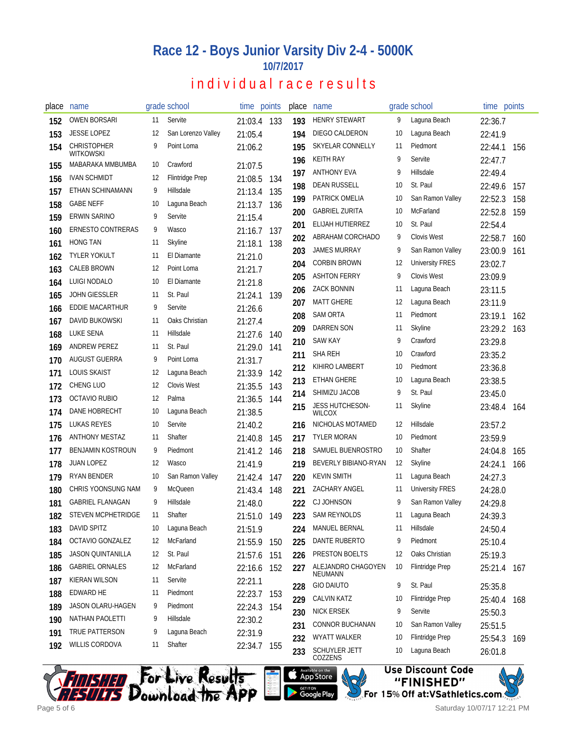# **Race 12 - Boys Junior Varsity Div 2-4 - 5000K 10/7/2017**

## individual race results

| place | name                                   |     | grade school           | time points |     | place | name                         |    | grade school           | time points        |     |
|-------|----------------------------------------|-----|------------------------|-------------|-----|-------|------------------------------|----|------------------------|--------------------|-----|
| 152   | <b>OWEN BORSARI</b>                    | 11  | Servite                | 21:03.4 133 |     | 193   | <b>HENRY STEWART</b>         | 9  | Laguna Beach           | 22:36.7            |     |
| 153   | <b>JESSE LOPEZ</b>                     | 12  | San Lorenzo Valley     | 21:05.4     |     | 194   | DIEGO CALDERON               | 10 | Laguna Beach           | 22:41.9            |     |
| 154   | <b>CHRISTOPHER</b><br><b>WITKOWSKI</b> | 9   | Point Loma             | 21:06.2     |     | 195   | SKYELAR CONNELLY             | 11 | Piedmont               | 22:44.1            | 156 |
| 155   | MABARAKA MMBUMBA                       | 10  | Crawford               | 21:07.5     |     | 196   | <b>KEITH RAY</b>             | 9  | Servite                | 22:47.7            |     |
| 156   | <b>IVAN SCHMIDT</b>                    | 12  | <b>Flintridge Prep</b> | 21:08.5     | 134 | 197   | <b>ANTHONY EVA</b>           | 9  | Hillsdale              | 22:49.4            |     |
| 157   | ETHAN SCHINAMANN                       | 9   | Hillsdale              | 21:13.4     | 135 | 198   | <b>DEAN RUSSELL</b>          | 10 | St. Paul               | 22:49.6            | 157 |
| 158   | <b>GABE NEFF</b>                       | 10  | Laguna Beach           | 21:13.7 136 |     | 199   | PATRICK OMELIA               | 10 | San Ramon Valley       | 22:52.3            | 158 |
| 159   | <b>ERWIN SARINO</b>                    | 9   | Servite                | 21:15.4     |     | 200   | <b>GABRIEL ZURITA</b>        | 10 | McFarland              | 22:52.8            | 159 |
| 160   | <b>ERNESTO CONTRERAS</b>               | 9   | Wasco                  | 21:16.7     | 137 | 201   | ELIJAH HUTIERREZ             | 10 | St. Paul               | 22:54.4            |     |
| 161   | <b>HONG TAN</b>                        | 11  | Skyline                | 21:18.1     | 138 | 202   | ABRAHAM CORCHADO             | 9  | <b>Clovis West</b>     | 22:58.7            | 160 |
| 162   | <b>TYLER YOKULT</b>                    | 11  | El Diamante            | 21:21.0     |     | 203   | <b>JAMES MURRAY</b>          | 9  | San Ramon Valley       | 23:00.9            | 161 |
| 163   | <b>CALEB BROWN</b>                     | 12  | Point Loma             | 21:21.7     |     | 204   | <b>CORBIN BROWN</b>          | 12 | <b>University FRES</b> | 23:02.7            |     |
| 164   | LUIGI NODALO                           | 10  | El Diamante            | 21:21.8     |     | 205   | <b>ASHTON FERRY</b>          | 9  | <b>Clovis West</b>     | 23:09.9            |     |
| 165   | <b>JOHN GIESSLER</b>                   | 11  | St. Paul               | 21:24.1     | 139 | 206   | <b>ZACK BONNIN</b>           | 11 | Laguna Beach           | 23:11.5            |     |
| 166   | <b>EDDIE MACARTHUR</b>                 | 9   | Servite                | 21:26.6     |     | 207   | <b>MATT GHERE</b>            | 12 | Laguna Beach           | 23:11.9            |     |
| 167   | <b>DAVID BUKOWSKI</b>                  | 11  | Oaks Christian         | 21:27.4     |     | 208   | <b>SAM ORTA</b>              | 11 | Piedmont               | 23:19.1            | 162 |
| 168   | LUKE SENA                              | -11 | Hillsdale              | 21:27.6     | 140 | 209   | <b>DARREN SON</b>            | 11 | <b>Skyline</b>         | 23:29.2            | 163 |
| 169   | <b>ANDREW PEREZ</b>                    | 11  | St. Paul               | 21:29.0     | 141 | 210   | <b>SAW KAY</b>               | 9  | Crawford               | 23:29.8            |     |
| 170   | AUGUST GUERRA                          | 9   | Point Loma             | 21:31.7     |     | 211   | SHA REH                      | 10 | Crawford               | 23:35.2            |     |
| 171   | <b>LOUIS SKAIST</b>                    | 12  | Laguna Beach           | 21:33.9     | 142 | 212   | KIHIRO LAMBERT               | 10 | Piedmont               | 23:36.8            |     |
| 172   | <b>CHENG LUO</b>                       | 12  | <b>Clovis West</b>     | 21:35.5     | 143 | 213   | ETHAN GHERE                  | 10 | Laguna Beach           | 23:38.5            |     |
| 173   | OCTAVIO RUBIO                          | 12  | Palma                  | 21:36.5     | 144 | 214   | SHIMIZU JACOB                | 9  | St. Paul               | 23:45.0            |     |
| 174   | DANE HOBRECHT                          | 10  | Laguna Beach           | 21:38.5     |     | 215   | JESS HUTCHESON-<br>WILCOX    | 11 | Skyline                | 23:48.4            | 164 |
| 175   | LUKAS REYES                            | 10  | Servite                | 21:40.2     |     | 216   | NICHOLAS MOTAMED             | 12 | Hillsdale              | 23:57.2            |     |
| 176   | <b>ANTHONY MESTAZ</b>                  | 11  | Shafter                | 21:40.8     | 145 | 217   | <b>TYLER MORAN</b>           | 10 | Piedmont               | 23:59.9            |     |
| 177   | <b>BENJAMIN KOSTROUN</b>               | 9   | Piedmont               | 21:41.2     | 146 | 218   | SAMUEL BUENROSTRO            | 10 | Shafter                | 24:04.8            | 165 |
| 178   | <b>JUAN LOPEZ</b>                      | 12  | Wasco                  | 21:41.9     |     | 219   | BEVERLY BIBIANO-RYAN         | 12 | Skyline                | 24:24.1            | 166 |
| 179   | RYAN BENDER                            | 10  | San Ramon Valley       | 21:42.4     | 147 | 220   | <b>KEVIN SMITH</b>           | 11 | Laguna Beach           | 24:27.3            |     |
| 180   | CHRIS YOONSUNG NAM                     | 9   | McQueen                | 21:43.4     | 148 | 221   | ZACHARY ANGEL                | 11 | <b>University FRES</b> | 24:28.0            |     |
| 181   | <b>GABRIEL FLANAGAN</b>                | 9   | Hillsdale              | 21:48.0     |     | 222   | <b>CJ JOHNSON</b>            | 9  | San Ramon Valley       | 24:29.8            |     |
| 182   | STEVEN MCPHETRIDGE                     | 11  | Shafter                | 21:51.0     | 149 | 223   | SAM REYNOLDS                 | 11 | Laguna Beach           | 24:39.3            |     |
| 183   | DAVID SPITZ                            | 10  | Laguna Beach           | 21:51.9     |     | 224   | MANUEL BERNAL                | 11 | Hillsdale              | 24:50.4            |     |
| 184   | OCTAVIO GONZALEZ                       | 12  | McFarland              | 21:55.9     | 150 | 225   | DANTE RUBERTO                | 9  | Piedmont               | 25:10.4            |     |
| 185   | <b>JASON QUINTANILLA</b>               | 12  | St. Paul               | 21:57.6     | 151 | 226   | PRESTON BOELTS               | 12 | Oaks Christian         | 25:19.3            |     |
| 186   | <b>GABRIEL ORNALES</b>                 | 12  | McFarland              | 22:16.6     | 152 | 227   | ALEJANDRO CHAGOYEN           | 10 | <b>Flintridge Prep</b> | 25:21.4 167        |     |
| 187   | <b>KIERAN WILSON</b>                   | 11  | Servite                | 22:21.1     |     | 228   | NEUMANN<br><b>GIO DAIUTO</b> | 9  | St. Paul               | 25:35.8            |     |
| 188   | EDWARD HE                              | 11  | Piedmont               | 22:23.7     | 153 | 229   | <b>CALVIN KATZ</b>           | 10 | <b>Flintridge Prep</b> |                    |     |
| 189   | JASON OLARU-HAGEN                      | 9   | Piedmont               | 22:24.3     | 154 | 230   | <b>NICK ERSEK</b>            | 9  | Servite                | 25:40.4<br>25:50.3 | 168 |
| 190   | NATHAN PAOLETTI                        | 9   | Hillsdale              | 22:30.2     |     | 231   | CONNOR BUCHANAN              | 10 | San Ramon Valley       | 25:51.5            |     |
| 191   | TRUE PATTERSON                         | 9   | Laguna Beach           | 22:31.9     |     | 232   | WYATT WALKER                 | 10 | Flintridge Prep        | 25:54.3            | 169 |
| 192   | <b>WILLIS CORDOVA</b>                  | 11  | Shafter                | 22:34.7 155 |     | 233   | SCHUYLER JETT<br>COZZENS     | 10 | Laguna Beach           | 26:01.8            |     |